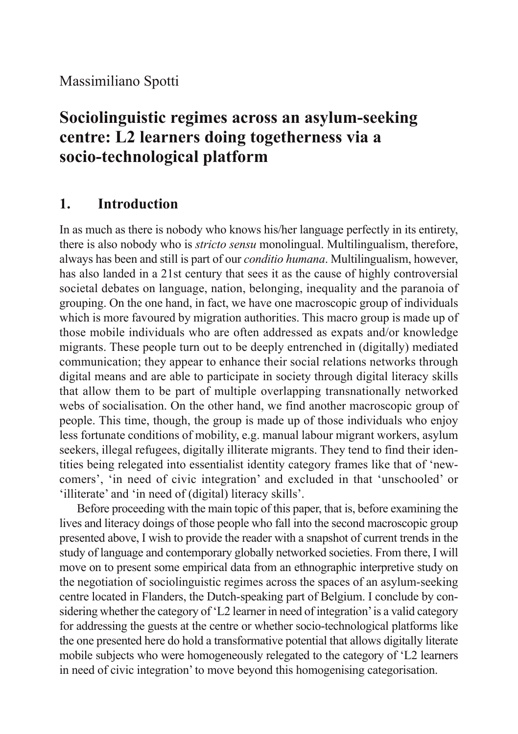# **Sociolinguistic regimes across an asylum-seeking centre: L2 learners doing togetherness via a socio-technological platform**

### **1. Introduction**

In as much as there is nobody who knows his/her language perfectly in its entirety, there is also nobody who is *stricto sensu* monolingual. Multilingualism, therefore, always has been and still is part of our *conditio humana*. Multilingualism, however, has also landed in a 21st century that sees it as the cause of highly controversial societal debates on language, nation, belonging, inequality and the paranoia of grouping. On the one hand, in fact, we have one macroscopic group of individuals which is more favoured by migration authorities. This macro group is made up of those mobile individuals who are often addressed as expats and/or knowledge migrants. These people turn out to be deeply entrenched in (digitally) mediated communication; they appear to enhance their social relations networks through digital means and are able to participate in society through digital literacy skills that allow them to be part of multiple overlapping transnationally networked webs of socialisation. On the other hand, we find another macroscopic group of people. This time, though, the group is made up of those individuals who enjoy less fortunate conditions of mobility, e.g. manual labour migrant workers, asylum seekers, illegal refugees, digitally illiterate migrants. They tend to find their identities being relegated into essentialist identity category frames like that of 'newcomers', 'in need of civic integration' and excluded in that 'unschooled' or 'illiterate' and 'in need of (digital) literacy skills'.

Before proceeding with the main topic of this paper, that is, before examining the lives and literacy doings of those people who fall into the second macroscopic group presented above, I wish to provide the reader with a snapshot of current trends in the study of language and contemporary globally networked societies. From there, I will move on to present some empirical data from an ethnographic interpretive study on the negotiation of sociolinguistic regimes across the spaces of an asylum-seeking centre located in Flanders, the Dutch-speaking part of Belgium. I conclude by considering whether the category of 'L2 learner in need of integration' is a valid category for addressing the guests at the centre or whether socio-technological platforms like the one presented here do hold a transformative potential that allows digitally literate mobile subjects who were homogeneously relegated to the category of 'L2 learners in need of civic integration' to move beyond this homogenising categorisation.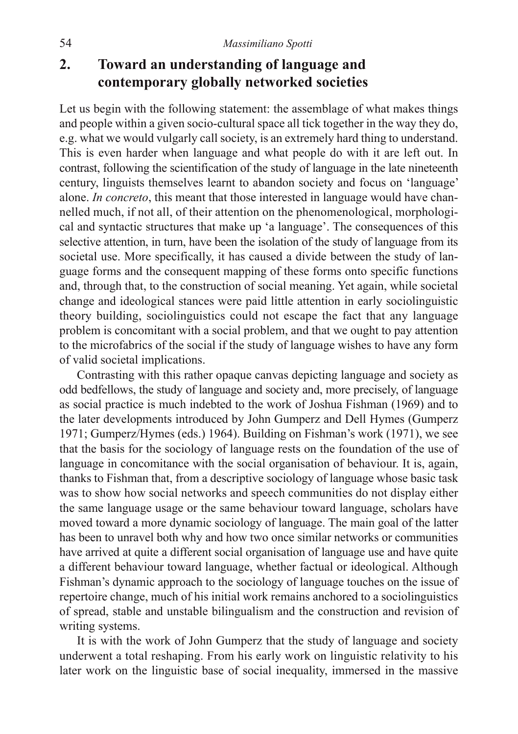# **2. Toward an understanding of language and contemporary globally networked societies**

Let us begin with the following statement: the assemblage of what makes things and people within a given socio-cultural space all tick together in the way they do, e.g. what we would vulgarly call society, is an extremely hard thing to understand. This is even harder when language and what people do with it are left out. In contrast, following the scientification of the study of language in the late nineteenth century, linguists themselves learnt to abandon society and focus on 'language' alone. *In concreto*, this meant that those interested in language would have channelled much, if not all, of their attention on the phenomenological, morphological and syntactic structures that make up 'a language'. The consequences of this selective attention, in turn, have been the isolation of the study of language from its societal use. More specifically, it has caused a divide between the study of language forms and the consequent mapping of these forms onto specific functions and, through that, to the construction of social meaning. Yet again, while societal change and ideological stances were paid little attention in early sociolinguistic theory building, sociolinguistics could not escape the fact that any language problem is concomitant with a social problem, and that we ought to pay attention to the microfabrics of the social if the study of language wishes to have any form of valid societal implications.

Contrasting with this rather opaque canvas depicting language and society as odd bedfellows, the study of language and society and, more precisely, of language as social practice is much indebted to the work of Joshua Fishman (1969) and to the later developments introduced by John Gumperz and Dell Hymes (Gumperz 1971; Gumperz/Hymes (eds.) 1964). Building on Fishman's work (1971), we see that the basis for the sociology of language rests on the foundation of the use of language in concomitance with the social organisation of behaviour. It is, again, thanks to Fishman that, from a descriptive sociology of language whose basic task was to show how social networks and speech communities do not display either the same language usage or the same behaviour toward language, scholars have moved toward a more dynamic sociology of language. The main goal of the latter has been to unravel both why and how two once similar networks or communities have arrived at quite a different social organisation of language use and have quite a different behaviour toward language, whether factual or ideological. Although Fishman's dynamic approach to the sociology of language touches on the issue of repertoire change, much of his initial work remains anchored to a sociolinguistics of spread, stable and unstable bilingualism and the construction and revision of writing systems.

It is with the work of John Gumperz that the study of language and society underwent a total reshaping. From his early work on linguistic relativity to his later work on the linguistic base of social inequality, immersed in the massive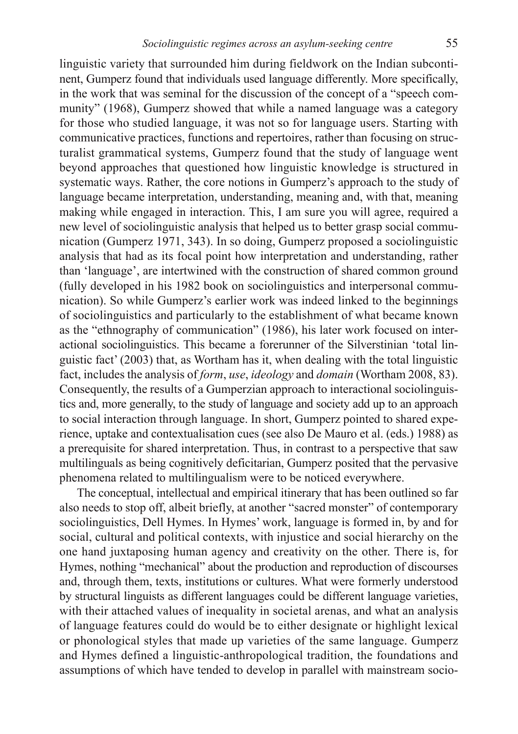linguistic variety that surrounded him during fieldwork on the Indian subcontinent, Gumperz found that individuals used language differently. More specifically, in the work that was seminal for the discussion of the concept of a "speech community" (1968), Gumperz showed that while a named language was a category for those who studied language, it was not so for language users. Starting with communicative practices, functions and repertoires, rather than focusing on structuralist grammatical systems, Gumperz found that the study of language went beyond approaches that questioned how linguistic knowledge is structured in systematic ways. Rather, the core notions in Gumperz's approach to the study of language became interpretation, understanding, meaning and, with that, meaning making while engaged in interaction. This, I am sure you will agree, required a new level of sociolinguistic analysis that helped us to better grasp social communication (Gumperz 1971, 343). In so doing, Gumperz proposed a sociolinguistic analysis that had as its focal point how interpretation and understanding, rather than 'language', are intertwined with the construction of shared common ground (fully developed in his 1982 book on sociolinguistics and interpersonal communication). So while Gumperz's earlier work was indeed linked to the beginnings of sociolinguistics and particularly to the establishment of what became known as the "ethnography of communication" (1986), his later work focused on interactional sociolinguistics. This became a forerunner of the Silverstinian 'total linguistic fact' (2003) that, as Wortham has it, when dealing with the total linguistic fact, includes the analysis of *form*, *use*, *ideology* and *domain* (Wortham 2008, 83). Consequently, the results of a Gumperzian approach to interactional sociolinguistics and, more generally, to the study of language and society add up to an approach to social interaction through language. In short, Gumperz pointed to shared experience, uptake and contextualisation cues (see also De Mauro et al. (eds.) 1988) as a prerequisite for shared interpretation. Thus, in contrast to a perspective that saw multilinguals as being cognitively deficitarian, Gumperz posited that the pervasive phenomena related to multilingualism were to be noticed everywhere.

The conceptual, intellectual and empirical itinerary that has been outlined so far also needs to stop off, albeit briefly, at another "sacred monster" of contemporary sociolinguistics, Dell Hymes. In Hymes' work, language is formed in, by and for social, cultural and political contexts, with injustice and social hierarchy on the one hand juxtaposing human agency and creativity on the other. There is, for Hymes, nothing "mechanical" about the production and reproduction of discourses and, through them, texts, institutions or cultures. What were formerly understood by structural linguists as different languages could be different language varieties, with their attached values of inequality in societal arenas, and what an analysis of language features could do would be to either designate or highlight lexical or phonological styles that made up varieties of the same language. Gumperz and Hymes defined a linguistic-anthropological tradition, the foundations and assumptions of which have tended to develop in parallel with mainstream socio-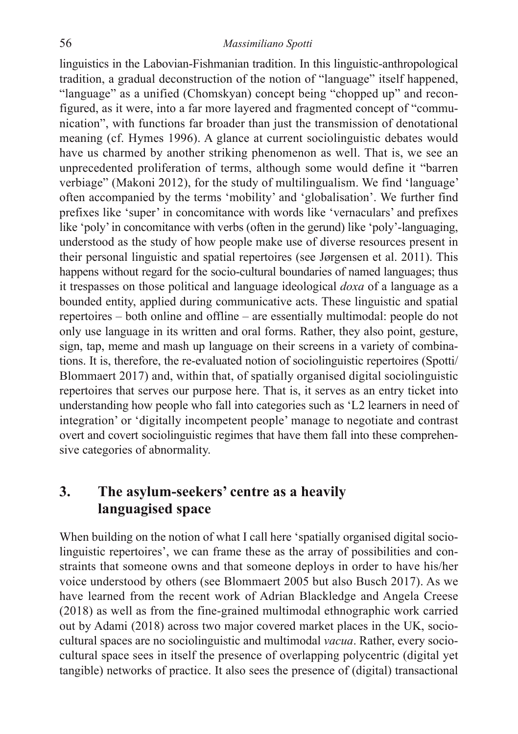linguistics in the Labovian-Fishmanian tradition. In this linguistic-anthropological tradition, a gradual deconstruction of the notion of "language" itself happened, "language" as a unified (Chomskyan) concept being "chopped up" and reconfigured, as it were, into a far more layered and fragmented concept of "communication", with functions far broader than just the transmission of denotational meaning (cf. Hymes 1996). A glance at current sociolinguistic debates would have us charmed by another striking phenomenon as well. That is, we see an unprecedented proliferation of terms, although some would define it "barren verbiage" (Makoni 2012), for the study of multilingualism. We find 'language' often accompanied by the terms 'mobility' and 'globalisation'. We further find prefixes like 'super' in concomitance with words like 'vernaculars' and prefixes like 'poly' in concomitance with verbs (often in the gerund) like 'poly'-languaging, understood as the study of how people make use of diverse resources present in their personal linguistic and spatial repertoires (see Jørgensen et al. 2011). This happens without regard for the socio-cultural boundaries of named languages; thus it trespasses on those political and language ideological *doxa* of a language as a bounded entity, applied during communicative acts. These linguistic and spatial repertoires – both online and offline – are essentially multimodal: people do not only use language in its written and oral forms. Rather, they also point, gesture, sign, tap, meme and mash up language on their screens in a variety of combinations. It is, therefore, the re-evaluated notion of sociolinguistic repertoires (Spotti/ Blommaert 2017) and, within that, of spatially organised digital sociolinguistic repertoires that serves our purpose here. That is, it serves as an entry ticket into understanding how people who fall into categories such as 'L2 learners in need of integration' or 'digitally incompetent people' manage to negotiate and contrast overt and covert sociolinguistic regimes that have them fall into these comprehensive categories of abnormality.

## **3. The asylum-seekers' centre as a heavily languagised space**

When building on the notion of what I call here 'spatially organised digital sociolinguistic repertoires', we can frame these as the array of possibilities and constraints that someone owns and that someone deploys in order to have his/her voice understood by others (see Blommaert 2005 but also Busch 2017). As we have learned from the recent work of Adrian Blackledge and Angela Creese (2018) as well as from the fine-grained multimodal ethnographic work carried out by Adami (2018) across two major covered market places in the UK, sociocultural spaces are no sociolinguistic and multimodal *vacua*. Rather, every sociocultural space sees in itself the presence of overlapping polycentric (digital yet tangible) networks of practice. It also sees the presence of (digital) transactional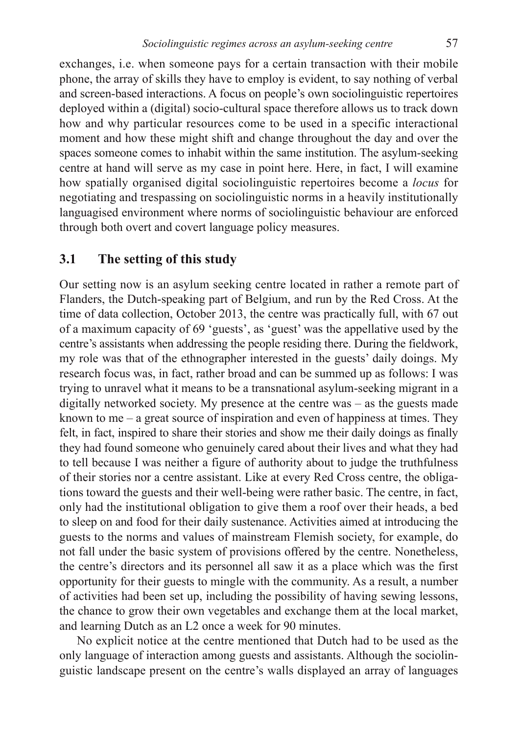exchanges, i.e. when someone pays for a certain transaction with their mobile phone, the array of skills they have to employ is evident, to say nothing of verbal and screen-based interactions. A focus on people's own sociolinguistic repertoires deployed within a (digital) socio-cultural space therefore allows us to track down how and why particular resources come to be used in a specific interactional moment and how these might shift and change throughout the day and over the spaces someone comes to inhabit within the same institution. The asylum-seeking centre at hand will serve as my case in point here. Here, in fact, I will examine how spatially organised digital sociolinguistic repertoires become a *locus* for negotiating and trespassing on sociolinguistic norms in a heavily institutionally languagised environment where norms of sociolinguistic behaviour are enforced through both overt and covert language policy measures.

### **3.1 The setting of this study**

Our setting now is an asylum seeking centre located in rather a remote part of Flanders, the Dutch-speaking part of Belgium, and run by the Red Cross. At the time of data collection, October 2013, the centre was practically full, with 67 out of a maximum capacity of 69 'guests', as 'guest' was the appellative used by the centre's assistants when addressing the people residing there. During the fieldwork, my role was that of the ethnographer interested in the guests' daily doings. My research focus was, in fact, rather broad and can be summed up as follows: I was trying to unravel what it means to be a transnational asylum-seeking migrant in a digitally networked society. My presence at the centre was – as the guests made known to me  $-$  a great source of inspiration and even of happiness at times. They felt, in fact, inspired to share their stories and show me their daily doings as finally they had found someone who genuinely cared about their lives and what they had to tell because I was neither a figure of authority about to judge the truthfulness of their stories nor a centre assistant. Like at every Red Cross centre, the obligations toward the guests and their well-being were rather basic. The centre, in fact, only had the institutional obligation to give them a roof over their heads, a bed to sleep on and food for their daily sustenance. Activities aimed at introducing the guests to the norms and values of mainstream Flemish society, for example, do not fall under the basic system of provisions offered by the centre. Nonetheless, the centre's directors and its personnel all saw it as a place which was the first opportunity for their guests to mingle with the community. As a result, a number of activities had been set up, including the possibility of having sewing lessons, the chance to grow their own vegetables and exchange them at the local market, and learning Dutch as an L2 once a week for 90 minutes.

No explicit notice at the centre mentioned that Dutch had to be used as the only language of interaction among guests and assistants. Although the sociolinguistic landscape present on the centre's walls displayed an array of languages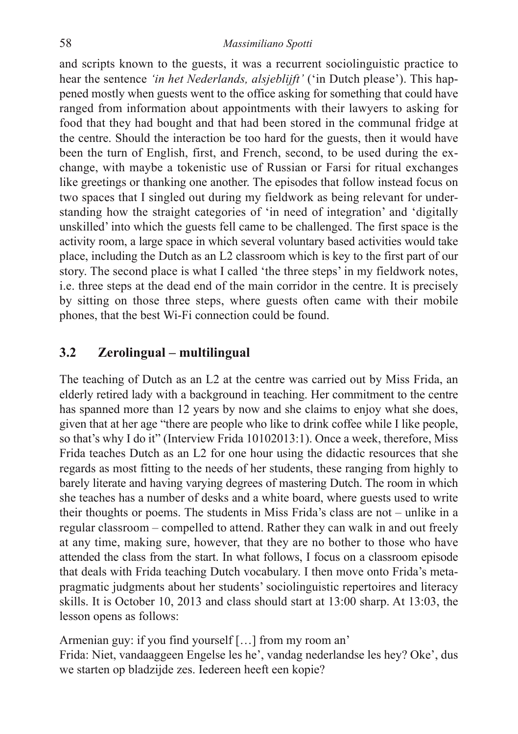and scripts known to the guests, it was a recurrent sociolinguistic practice to hear the sentence *'in het Nederlands, alsjeblijft'* ('in Dutch please'). This happened mostly when guests went to the office asking for something that could have ranged from information about appointments with their lawyers to asking for food that they had bought and that had been stored in the communal fridge at the centre. Should the interaction be too hard for the guests, then it would have been the turn of English, first, and French, second, to be used during the exchange, with maybe a tokenistic use of Russian or Farsi for ritual exchanges like greetings or thanking one another. The episodes that follow instead focus on two spaces that I singled out during my fieldwork as being relevant for understanding how the straight categories of 'in need of integration' and 'digitally unskilled' into which the guests fell came to be challenged. The first space is the activity room, a large space in which several voluntary based activities would take place, including the Dutch as an L2 classroom which is key to the first part of our story. The second place is what I called 'the three steps' in my fieldwork notes, i.e. three steps at the dead end of the main corridor in the centre. It is precisely by sitting on those three steps, where guests often came with their mobile phones, that the best Wi-Fi connection could be found.

### **3.2 Zerolingual – multilingual**

The teaching of Dutch as an L2 at the centre was carried out by Miss Frida, an elderly retired lady with a background in teaching. Her commitment to the centre has spanned more than 12 years by now and she claims to enjoy what she does, given that at her age "there are people who like to drink coffee while I like people, so that's why I do it" (Interview Frida 10102013:1). Once a week, therefore, Miss Frida teaches Dutch as an L2 for one hour using the didactic resources that she regards as most fitting to the needs of her students, these ranging from highly to barely literate and having varying degrees of mastering Dutch. The room in which she teaches has a number of desks and a white board, where guests used to write their thoughts or poems. The students in Miss Frida's class are not – unlike in a regular classroom – compelled to attend. Rather they can walk in and out freely at any time, making sure, however, that they are no bother to those who have attended the class from the start. In what follows, I focus on a classroom episode that deals with Frida teaching Dutch vocabulary. I then move onto Frida's metapragmatic judgments about her students' sociolinguistic repertoires and literacy skills. It is October 10, 2013 and class should start at 13:00 sharp. At 13:03, the lesson opens as follows:

Armenian guy: if you find yourself […] from my room an' Frida: Niet, vandaaggeen Engelse les he', vandag nederlandse les hey? Oke', dus we starten op bladzijde zes. Iedereen heeft een kopie?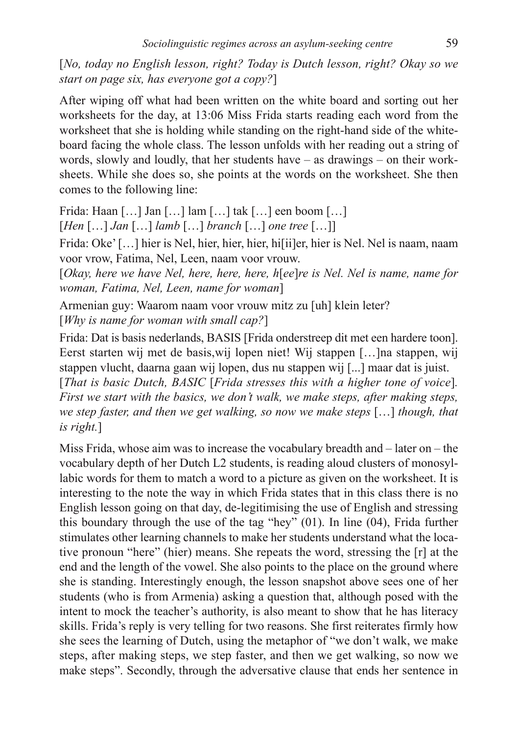[*No, today no English lesson, right? Today is Dutch lesson, right? Okay so we start on page six, has everyone got a copy?*]

After wiping off what had been written on the white board and sorting out her worksheets for the day, at 13:06 Miss Frida starts reading each word from the worksheet that she is holding while standing on the right-hand side of the whiteboard facing the whole class. The lesson unfolds with her reading out a string of words, slowly and loudly, that her students have – as drawings – on their worksheets. While she does so, she points at the words on the worksheet. She then comes to the following line:

Frida: Haan […] Jan […] lam […] tak […] een boom […]

[*Hen* […] *Jan* […] *lamb* […] *branch* […] *one tree* […]]

Frida: Oke' [...] hier is Nel, hier, hier, hier, hi[ii]er, hier is Nel. Nel is naam, naam voor vrow, Fatima, Nel, Leen, naam voor vrouw.

[*Okay, here we have Nel, here, here, here, h*[*ee*]*re is Nel. Nel is name, name for woman, Fatima, Nel, Leen, name for woman*]

Armenian guy: Waarom naam voor vrouw mitz zu [uh] klein leter?

[*Why is name for woman with small cap?*]

Frida: Dat is basis nederlands, BASIS [Frida onderstreep dit met een hardere toon]. Eerst starten wij met de basis,wij lopen niet! Wij stappen […]na stappen, wij stappen vlucht, daarna gaan wij lopen, dus nu stappen wij [...] maar dat is juist.

[*That is basic Dutch, BASIC* [*Frida stresses this with a higher tone of voice*]*. First we start with the basics, we don't walk, we make steps, after making steps, we step faster, and then we get walking, so now we make steps* […] *though, that is right.*]

Miss Frida, whose aim was to increase the vocabulary breadth and – later on – the vocabulary depth of her Dutch L2 students, is reading aloud clusters of monosyllabic words for them to match a word to a picture as given on the worksheet. It is interesting to the note the way in which Frida states that in this class there is no English lesson going on that day, de-legitimising the use of English and stressing this boundary through the use of the tag "hey" (01). In line (04), Frida further stimulates other learning channels to make her students understand what the locative pronoun "here" (hier) means. She repeats the word, stressing the [r] at the end and the length of the vowel. She also points to the place on the ground where she is standing. Interestingly enough, the lesson snapshot above sees one of her students (who is from Armenia) asking a question that, although posed with the intent to mock the teacher's authority, is also meant to show that he has literacy skills. Frida's reply is very telling for two reasons. She first reiterates firmly how she sees the learning of Dutch, using the metaphor of "we don't walk, we make steps, after making steps, we step faster, and then we get walking, so now we make steps". Secondly, through the adversative clause that ends her sentence in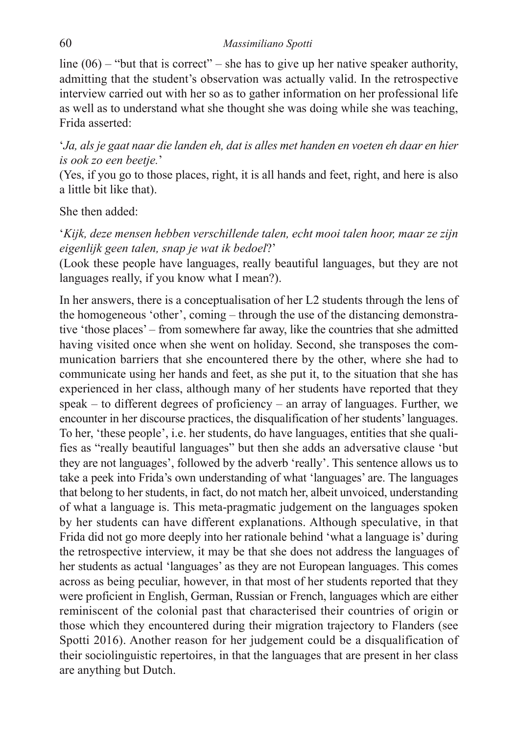line  $(06)$  – "but that is correct" – she has to give up her native speaker authority, admitting that the student's observation was actually valid. In the retrospective interview carried out with her so as to gather information on her professional life as well as to understand what she thought she was doing while she was teaching, Frida asserted:

'*Ja, als je gaat naar die landen eh, dat is alles met handen en voeten eh daar en hier is ook zo een beetje.*'

(Yes, if you go to those places, right, it is all hands and feet, right, and here is also a little bit like that).

#### She then added:

'*Kijk, deze mensen hebben verschillende talen, echt mooi talen hoor, maar ze zijn eigenlijk geen talen, snap je wat ik bedoel*?'

(Look these people have languages, really beautiful languages, but they are not languages really, if you know what I mean?).

In her answers, there is a conceptualisation of her L2 students through the lens of the homogeneous 'other', coming – through the use of the distancing demonstrative 'those places' – from somewhere far away, like the countries that she admitted having visited once when she went on holiday. Second, she transposes the communication barriers that she encountered there by the other, where she had to communicate using her hands and feet, as she put it, to the situation that she has experienced in her class, although many of her students have reported that they speak – to different degrees of proficiency – an array of languages. Further, we encounter in her discourse practices, the disqualification of her students' languages. To her, 'these people', i.e. her students, do have languages, entities that she qualifies as "really beautiful languages" but then she adds an adversative clause 'but they are not languages', followed by the adverb 'really'. This sentence allows us to take a peek into Frida's own understanding of what 'languages' are. The languages that belong to her students, in fact, do not match her, albeit unvoiced, understanding of what a language is. This meta-pragmatic judgement on the languages spoken by her students can have different explanations. Although speculative, in that Frida did not go more deeply into her rationale behind 'what a language is' during the retrospective interview, it may be that she does not address the languages of her students as actual 'languages' as they are not European languages. This comes across as being peculiar, however, in that most of her students reported that they were proficient in English, German, Russian or French, languages which are either reminiscent of the colonial past that characterised their countries of origin or those which they encountered during their migration trajectory to Flanders (see Spotti 2016). Another reason for her judgement could be a disqualification of their sociolinguistic repertoires, in that the languages that are present in her class are anything but Dutch.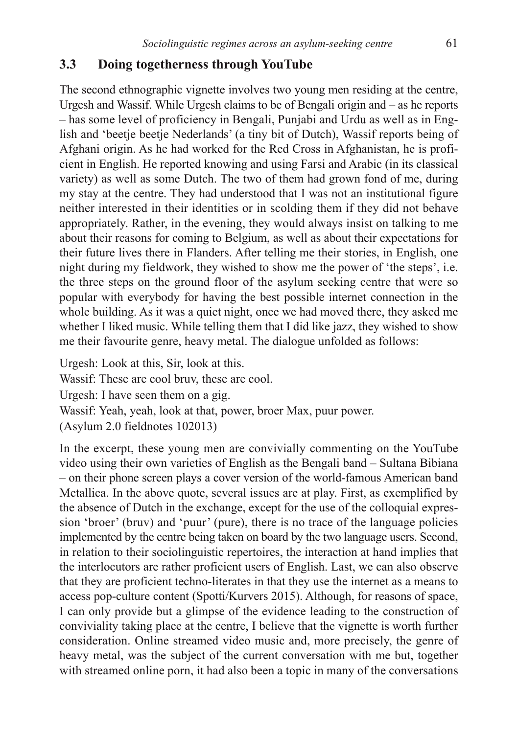### **3.3 Doing togetherness through YouTube**

The second ethnographic vignette involves two young men residing at the centre, Urgesh and Wassif. While Urgesh claims to be of Bengali origin and – as he reports – has some level of proficiency in Bengali, Punjabi and Urdu as well as in English and 'beetje beetje Nederlands' (a tiny bit of Dutch), Wassif reports being of Afghani origin. As he had worked for the Red Cross in Afghanistan, he is proficient in English. He reported knowing and using Farsi and Arabic (in its classical variety) as well as some Dutch. The two of them had grown fond of me, during my stay at the centre. They had understood that I was not an institutional figure neither interested in their identities or in scolding them if they did not behave appropriately. Rather, in the evening, they would always insist on talking to me about their reasons for coming to Belgium, as well as about their expectations for their future lives there in Flanders. After telling me their stories, in English, one night during my fieldwork, they wished to show me the power of 'the steps', i.e. the three steps on the ground floor of the asylum seeking centre that were so popular with everybody for having the best possible internet connection in the whole building. As it was a quiet night, once we had moved there, they asked me whether I liked music. While telling them that I did like jazz, they wished to show me their favourite genre, heavy metal. The dialogue unfolded as follows:

Urgesh: Look at this, Sir, look at this.

Wassif: These are cool bruy, these are cool.

Urgesh: I have seen them on a gig.

Wassif: Yeah, yeah, look at that, power, broer Max, puur power.

(Asylum 2.0 fieldnotes 102013)

In the excerpt, these young men are convivially commenting on the YouTube video using their own varieties of English as the Bengali band – Sultana Bibiana – on their phone screen plays a cover version of the world-famous American band Metallica. In the above quote, several issues are at play. First, as exemplified by the absence of Dutch in the exchange, except for the use of the colloquial expression 'broer' (bruv) and 'puur' (pure), there is no trace of the language policies implemented by the centre being taken on board by the two language users. Second, in relation to their sociolinguistic repertoires, the interaction at hand implies that the interlocutors are rather proficient users of English. Last, we can also observe that they are proficient techno-literates in that they use the internet as a means to access pop-culture content (Spotti/Kurvers 2015). Although, for reasons of space, I can only provide but a glimpse of the evidence leading to the construction of conviviality taking place at the centre, I believe that the vignette is worth further consideration. Online streamed video music and, more precisely, the genre of heavy metal, was the subject of the current conversation with me but, together with streamed online porn, it had also been a topic in many of the conversations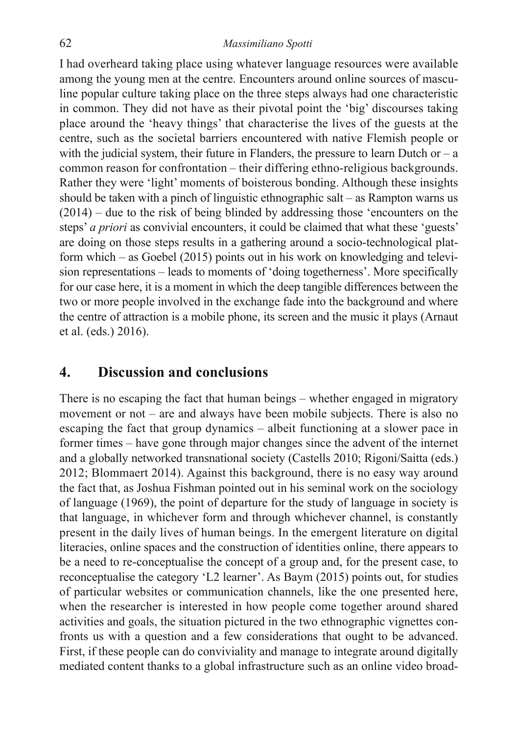I had overheard taking place using whatever language resources were available among the young men at the centre. Encounters around online sources of masculine popular culture taking place on the three steps always had one characteristic in common. They did not have as their pivotal point the 'big' discourses taking place around the 'heavy things' that characterise the lives of the guests at the centre, such as the societal barriers encountered with native Flemish people or with the judicial system, their future in Flanders, the pressure to learn Dutch or  $-a$ common reason for confrontation – their differing ethno-religious backgrounds. Rather they were 'light' moments of boisterous bonding. Although these insights should be taken with a pinch of linguistic ethnographic salt – as Rampton warns us (2014) – due to the risk of being blinded by addressing those 'encounters on the steps' *a priori* as convivial encounters, it could be claimed that what these 'guests' are doing on those steps results in a gathering around a socio-technological platform which – as Goebel (2015) points out in his work on knowledging and television representations – leads to moments of 'doing togetherness'. More specifically for our case here, it is a moment in which the deep tangible differences between the two or more people involved in the exchange fade into the background and where the centre of attraction is a mobile phone, its screen and the music it plays (Arnaut et al. (eds.) 2016).

### **4. Discussion and conclusions**

There is no escaping the fact that human beings – whether engaged in migratory movement or not – are and always have been mobile subjects. There is also no escaping the fact that group dynamics – albeit functioning at a slower pace in former times – have gone through major changes since the advent of the internet and a globally networked transnational society (Castells 2010; Rigoni/Saitta (eds.) 2012; Blommaert 2014). Against this background, there is no easy way around the fact that, as Joshua Fishman pointed out in his seminal work on the sociology of language (1969), the point of departure for the study of language in society is that language, in whichever form and through whichever channel, is constantly present in the daily lives of human beings. In the emergent literature on digital literacies, online spaces and the construction of identities online, there appears to be a need to re-conceptualise the concept of a group and, for the present case, to reconceptualise the category 'L2 learner'. As Baym (2015) points out, for studies of particular websites or communication channels, like the one presented here, when the researcher is interested in how people come together around shared activities and goals, the situation pictured in the two ethnographic vignettes confronts us with a question and a few considerations that ought to be advanced. First, if these people can do conviviality and manage to integrate around digitally mediated content thanks to a global infrastructure such as an online video broad-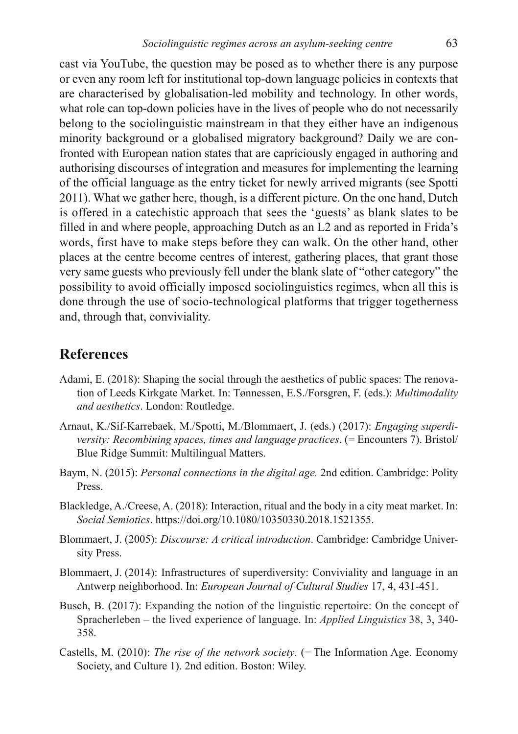cast via YouTube, the question may be posed as to whether there is any purpose or even any room left for institutional top-down language policies in contexts that are characterised by globalisation-led mobility and technology. In other words, what role can top-down policies have in the lives of people who do not necessarily belong to the sociolinguistic mainstream in that they either have an indigenous minority background or a globalised migratory background? Daily we are confronted with European nation states that are capriciously engaged in authoring and authorising discourses of integration and measures for implementing the learning of the official language as the entry ticket for newly arrived migrants (see Spotti 2011). What we gather here, though, is a different picture. On the one hand, Dutch is offered in a catechistic approach that sees the 'guests' as blank slates to be filled in and where people, approaching Dutch as an L2 and as reported in Frida's words, first have to make steps before they can walk. On the other hand, other places at the centre become centres of interest, gathering places, that grant those very same guests who previously fell under the blank slate of "other category" the possibility to avoid officially imposed sociolinguistics regimes, when all this is done through the use of socio-technological platforms that trigger togetherness and, through that, conviviality.

### **References**

- Adami, E. (2018): Shaping the social through the aesthetics of public spaces: The renovation of Leeds Kirkgate Market. In: Tønnessen, E.S./Forsgren, F. (eds.): *Multimodality and aesthetics*. London: Routledge.
- Arnaut, K./Sif-Karrebaek, M./Spotti, M./Blommaert, J. (eds.) (2017): *Engaging superdiversity: Recombining spaces, times and language practices.* (= Encounters 7). Bristol/ Blue Ridge Summit: Multilingual Matters.
- Baym, N. (2015): *Personal connections in the digital age.* 2nd edition. Cambridge: Polity Press.
- Blackledge, A./Creese, A. (2018): Interaction, ritual and the body in a city meat market. In: *Social Semiotics*. https://doi.org/10.1080/10350330.2018.1521355.
- Blommaert, J. (2005): *Discourse: A critical introduction*. Cambridge: Cambridge University Press.
- Blommaert, J. (2014): Infrastructures of superdiversity: Conviviality and language in an Antwerp neighborhood. In: *European Journal of Cultural Studies* 17, 4, 431-451.
- Busch, B. (2017): Expanding the notion of the linguistic repertoire: On the concept of Spracherleben – the lived experience of language. In: *Applied Linguistics* 38, 3, 340- 358.
- Castells, M. (2010): *The rise of the network society*. (= The Information Age. Economy Society, and Culture 1). 2nd edition. Boston: Wiley.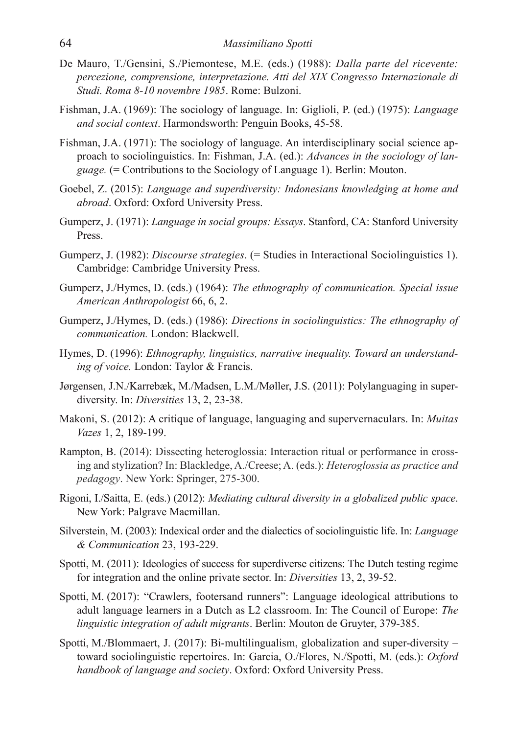- De Mauro, T./Gensini, S./Piemontese, M.E. (eds.) (1988): *Dalla parte del ricevente: percezione, comprensione, interpretazione. Atti del XIX Congresso Internazionale di Studi. Roma 8-10 novembre 1985*. Rome: Bulzoni.
- Fishman, J.A. (1969): The sociology of language. In: Giglioli, P. (ed.) (1975): *Language and social context*. Harmondsworth: Penguin Books, 45-58.
- Fishman, J.A. (1971): The sociology of language. An interdisciplinary social science approach to sociolinguistics. In: Fishman, J.A. (ed.): *Advances in the sociology of language.* (= Contributions to the Sociology of Language 1). Berlin: Mouton.
- Goebel, Z. (2015): *Language and superdiversity: Indonesians knowledging at home and abroad*. Oxford: Oxford University Press.
- Gumperz, J. (1971): *Language in social groups: Essays*. Stanford, CA: Stanford University Press.
- Gumperz, J. (1982): *Discourse strategies*. (= Studies in Interactional Sociolinguistics 1). Cambridge: Cambridge University Press.
- Gumperz, J./Hymes, D. (eds.) (1964): *The ethnography of communication. Special issue American Anthropologist* 66, 6, 2.
- Gumperz, J./Hymes, D. (eds.) (1986): *Directions in sociolinguistics: The ethnography of communication.* London: Blackwell.
- Hymes, D. (1996): *Ethnography, linguistics, narrative inequality. Toward an understanding of voice.* London: Taylor & Francis.
- Jørgensen, J.N./Karrebæk, M./Madsen, L.M./Møller, J.S. (2011): Polylanguaging in superdiversity. In: *Diversities* 13, 2, 23-38.
- Makoni, S. (2012): A critique of language, languaging and supervernaculars. In: *Muitas Vazes* 1, 2, 189-199.
- Rampton, B. (2014): Dissecting heteroglossia: Interaction ritual or performance in crossing and stylization? In: Blackledge, A./Creese; A. (eds.): *Heteroglossia as practice and pedagogy*. New York: Springer, 275-300.
- Rigoni, I./Saitta, E. (eds.) (2012): *Mediating cultural diversity in a globalized public space*. New York: Palgrave Macmillan.
- Silverstein, M. (2003): Indexical order and the dialectics of sociolinguistic life. In: *Language & Communication* 23, 193-229.
- Spotti, M. (2011): Ideologies of success for superdiverse citizens: The Dutch testing regime for integration and the online private sector. In: *Diversities* 13, 2, 39-52.
- Spotti, M. (2017): "Crawlers, footersand runners": Language ideological attributions to adult language learners in a Dutch as L2 classroom. In: The Council of Europe: *The linguistic integration of adult migrants*. Berlin: Mouton de Gruyter, 379-385.
- Spotti, M./Blommaert, J. (2017): Bi-multilingualism, globalization and super-diversity toward sociolinguistic repertoires. In: Garcia, O./Flores, N./Spotti, M. (eds.): *Oxford handbook of language and society*. Oxford: Oxford University Press.